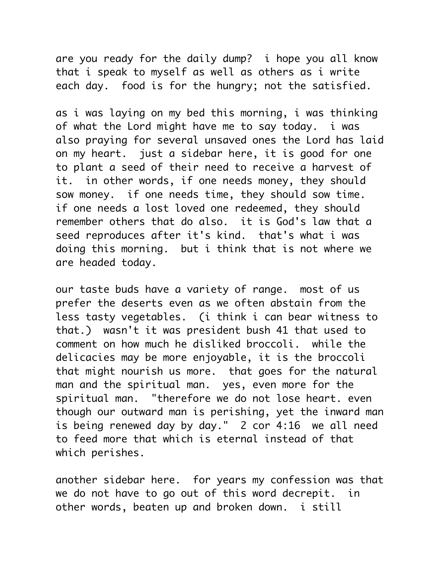are you ready for the daily dump? i hope you all know that i speak to myself as well as others as i write each day. food is for the hungry; not the satisfied.

as i was laying on my bed this morning, i was thinking of what the Lord might have me to say today. i was also praying for several unsaved ones the Lord has laid on my heart. just a sidebar here, it is good for one to plant a seed of their need to receive a harvest of it. in other words, if one needs money, they should sow money. if one needs time, they should sow time. if one needs a lost loved one redeemed, they should remember others that do also. it is God's law that a seed reproduces after it's kind. that's what i was doing this morning. but i think that is not where we are headed today.

our taste buds have a variety of range. most of us prefer the deserts even as we often abstain from the less tasty vegetables. (i think i can bear witness to that.) wasn't it was president bush 41 that used to comment on how much he disliked broccoli. while the delicacies may be more enjoyable, it is the broccoli that might nourish us more. that goes for the natural man and the spiritual man. yes, even more for the spiritual man. "therefore we do not lose heart. even though our outward man is perishing, yet the inward man is being renewed day by day." 2 cor 4:16 we all need to feed more that which is eternal instead of that which perishes.

another sidebar here. for years my confession was that we do not have to go out of this word decrepit. in other words, beaten up and broken down. i still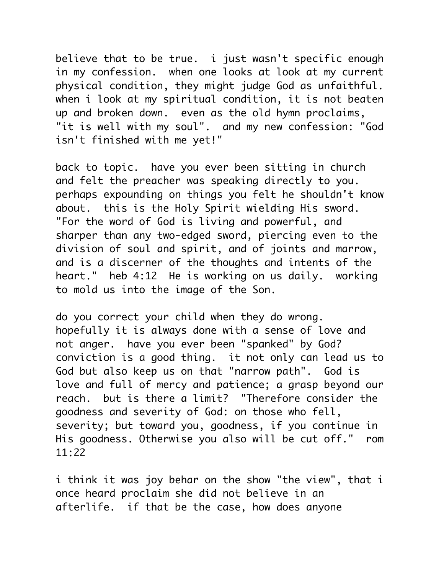believe that to be true. i just wasn't specific enough in my confession. when one looks at look at my current physical condition, they might judge God as unfaithful. when i look at my spiritual condition, it is not beaten up and broken down. even as the old hymn proclaims, "it is well with my soul". and my new confession: "God isn't finished with me yet!"

back to topic. have you ever been sitting in church and felt the preacher was speaking directly to you. perhaps expounding on things you felt he shouldn't know about. this is the Holy Spirit wielding His sword. "For the word of God is living and powerful, and sharper than any two-edged sword, piercing even to the division of soul and spirit, and of joints and marrow, and is a discerner of the thoughts and intents of the heart." heb 4:12 He is working on us daily. working to mold us into the image of the Son.

do you correct your child when they do wrong. hopefully it is always done with a sense of love and not anger. have you ever been "spanked" by God? conviction is a good thing. it not only can lead us to God but also keep us on that "narrow path". God is love and full of mercy and patience; a grasp beyond our reach. but is there a limit? "Therefore consider the goodness and severity of God: on those who fell, severity; but toward you, goodness, if you continue in His goodness. Otherwise you also will be cut off." rom 11:22

i think it was joy behar on the show "the view", that i once heard proclaim she did not believe in an afterlife. if that be the case, how does anyone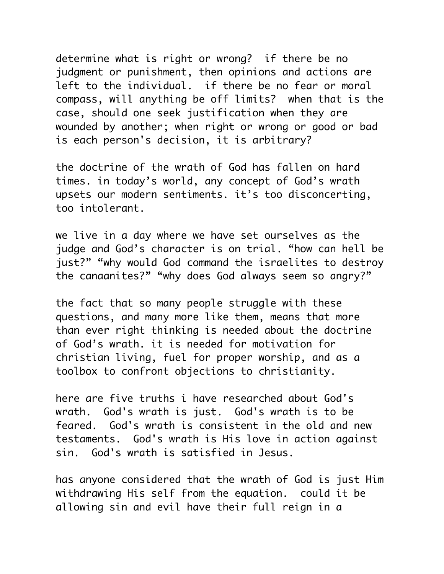determine what is right or wrong? if there be no judgment or punishment, then opinions and actions are left to the individual. if there be no fear or moral compass, will anything be off limits? when that is the case, should one seek justification when they are wounded by another; when right or wrong or good or bad is each person's decision, it is arbitrary?

the doctrine of the wrath of God has fallen on hard times. in today's world, any concept of God's wrath upsets our modern sentiments. it's too disconcerting, too intolerant.

we live in a day where we have set ourselves as the judge and God's character is on trial. "how can hell be just?" "why would God command the israelites to destroy the canaanites?" "why does God always seem so angry?"

the fact that so many people struggle with these questions, and many more like them, means that more than ever right thinking is needed about the doctrine of God's wrath. it is needed for motivation for christian living, fuel for proper worship, and as a toolbox to confront objections to christianity.

here are five truths i have researched about God's wrath. God's wrath is just. God's wrath is to be feared. God's wrath is consistent in the old and new testaments. God's wrath is His love in action against sin. God's wrath is satisfied in Jesus.

has anyone considered that the wrath of God is just Him withdrawing His self from the equation. could it be allowing sin and evil have their full reign in a